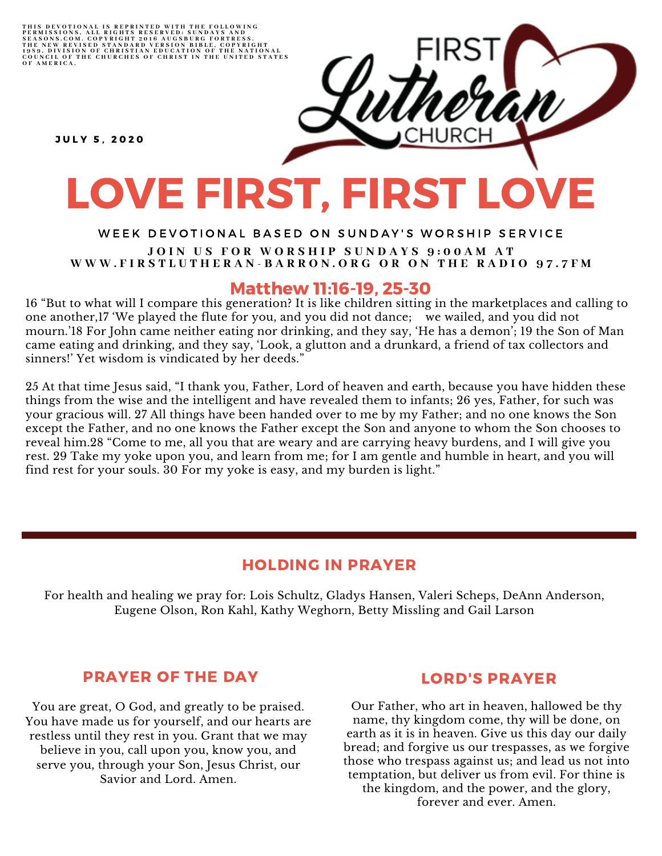THIS DEVOTIONAL IS REPRINTED WITH THE FOLLOWING<br>PERMISSIONS, ALL RIGHTS RESERVED: SUNDAYS AND<br>SEASONS.COM. COPYRIGHT 2016 AUGSBURG FORTRESS.<br>THE NEW REVISED STANDARD VERSION BIBLE, COPYRIGHT<br>1959, DIVISION OF CHRISTIAN EDU

**JULY 5. 2020** 

# LOVE FIRST, FIRST LOVE

#### WEEK DEVOTIONAL BASED ON SUNDAY'S WORSHIP SERVICE JOIN US FOR WORSHIP SUNDAYS 9:00AM AT WWW.FIRSTLUTHERAN-BARRON.ORG OR ON THE RADIO 97.7FM

## Matthew 11:16-19, 25-30

16 "But to what will I compare this generation? It is like children sitting in the marketplaces and calling to one another,17 'We played the flute for you, and you did not dance; we wailed, and you did not mourn.'18 For John came neither eating nor drinking, and they say, 'He has a demon'; 19 the Son of Man came eating and drinking, and they say, 'Look, a glutton and a drunkard, a friend of tax collectors and sinners!' Yet wisdom is vindicated by her deeds."

25 At that time Jesus said, "I thank you, Father, Lord of heaven and earth, because you have hidden these things from the wise and the intelligent and have revealed them to infants; 26 yes, Father, for such was your gracious will. 27 All things have been handed over to me by my Father; and no one knows the Son except the Father, and no one knows the Father except the Son and anyone to whom the Son chooses to reveal him.28 "Come to me, all you that are weary and are carrying heavy burdens, and I will give you rest. 29 Take my yoke upon you, and learn from me; for I am gentle and humble in heart, and you will find rest for your souls. 30 For my yoke is easy, and my burden is light."

# HOLDING IN PRAYER

For health and healing we pray for: Lois Schultz, Gladys Hansen, Valeri Scheps, DeAnn Anderson, Eugene Olson, Ron Kahl, Kathy Weghorn, Betty Missling and Gail Larson

# PRAYER OF THE DAY

You are great, O God, and greatly to be praised. You have made us for yourself, and our hearts are restless until they rest in you. Grant that we may believe in you, call upon you, know you, and serve you, through your Son, Jesus Christ, our Savior and Lord. Amen.

## LORD'S PRAYER

Our Father, who art in heaven, hallowed be thy name, thy kingdom come, thy will be done, on earth as it is in heaven. Give us this day our daily bread; and forgive us our trespasses, as we forgive those who trespass against us; and lead us not into temptation, but deliver us from evil. For thine is the kingdom, and the power, and the glory, forever and ever. Amen.